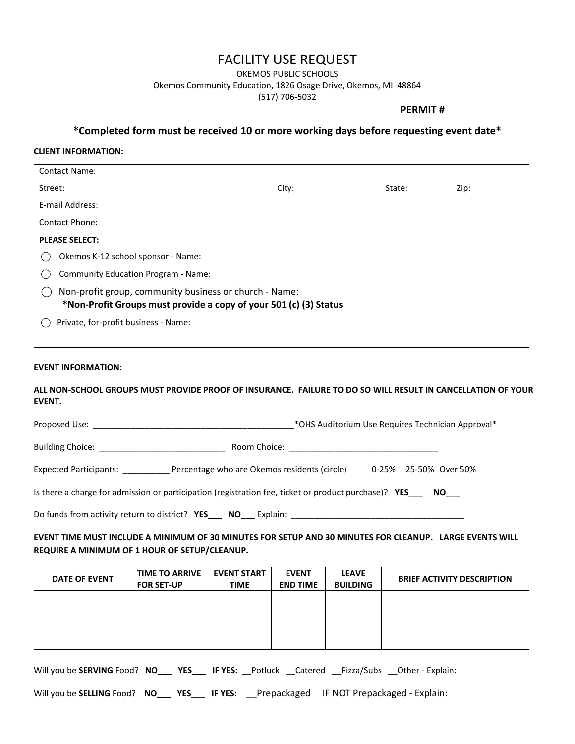# FACILITY USE REQUEST

OKEMOS PUBLIC SCHOOLS

Okemos Community Education, 1826 Osage Drive, Okemos, MI 48864

(517) 706-5032

### **PERMIT #**

**\*Completed form must be received 10 or more working days before requesting event date\***

#### **CLIENT INFORMATION:**

| Contact Name:                                                                                                               |                                            |       |        |      |
|-----------------------------------------------------------------------------------------------------------------------------|--------------------------------------------|-------|--------|------|
| Street:                                                                                                                     |                                            | City: | State: | Zip: |
| E-mail Address:                                                                                                             |                                            |       |        |      |
| <b>Contact Phone:</b>                                                                                                       |                                            |       |        |      |
| <b>PLEASE SELECT:</b>                                                                                                       |                                            |       |        |      |
|                                                                                                                             | Okemos K-12 school sponsor - Name:         |       |        |      |
|                                                                                                                             | <b>Community Education Program - Name:</b> |       |        |      |
| Non-profit group, community business or church - Name:<br>*Non-Profit Groups must provide a copy of your 501 (c) (3) Status |                                            |       |        |      |
| Private, for-profit business - Name:                                                                                        |                                            |       |        |      |
|                                                                                                                             |                                            |       |        |      |

#### **EVENT INFORMATION:**

**ALL NON-SCHOOL GROUPS MUST PROVIDE PROOF OF INSURANCE. FAILURE TO DO SO WILL RESULT IN CANCELLATION OF YOUR EVENT.** 

| Proposed Use: | *OHS Auditorium Use Requires Technician Approval* |  |
|---------------|---------------------------------------------------|--|
|---------------|---------------------------------------------------|--|

Building Choice: \_\_\_\_\_\_\_\_\_\_\_\_\_\_\_\_\_\_\_\_\_\_\_\_\_\_\_ Room Choice: \_\_\_\_\_\_\_\_\_\_\_\_\_\_\_\_\_\_\_\_\_\_\_\_\_\_\_\_\_\_\_\_

Expected Participants: \_\_\_\_\_\_\_\_\_\_ Percentage who are Okemos residents (circle) 0-25% 25-50% Over 50%

Is there a charge for admission or participation (registration fee, ticket or product purchase)?**YES\_\_\_ NO\_\_\_**

Do funds from activity return to district?**YES\_\_\_ NO\_\_\_** Explain: \_\_\_\_\_\_\_\_\_\_\_\_\_\_\_\_\_\_\_\_\_\_\_\_\_\_\_\_\_\_\_\_\_\_\_\_\_

## **EVENT TIME MUST INCLUDE A MINIMUM OF 30 MINUTES FOR SETUP AND 30 MINUTES FOR CLEANUP. LARGE EVENTS WILL REQUIRE A MINIMUM OF 1 HOUR OF SETUP/CLEANUP.**

| DATE OF EVENT | <b>TIME TO ARRIVE</b><br><b>FOR SET-UP</b> | <b>EVENT START</b><br><b>TIME</b> | <b>EVENT</b><br><b>END TIME</b> | <b>LEAVE</b><br><b>BUILDING</b> | <b>BRIEF ACTIVITY DESCRIPTION</b> |
|---------------|--------------------------------------------|-----------------------------------|---------------------------------|---------------------------------|-----------------------------------|
|               |                                            |                                   |                                 |                                 |                                   |
|               |                                            |                                   |                                 |                                 |                                   |
|               |                                            |                                   |                                 |                                 |                                   |

Will you be **SERVING** Food?**NO\_\_\_ YES\_\_\_ IF YES:** \_\_Potluck \_\_Catered \_\_Pizza/Subs \_\_Other - Explain:

Will you be **SELLING** Food? **NO\_\_\_ YES**\_\_\_ **IF YES:** \_\_Prepackaged IF NOT Prepackaged - Explain: